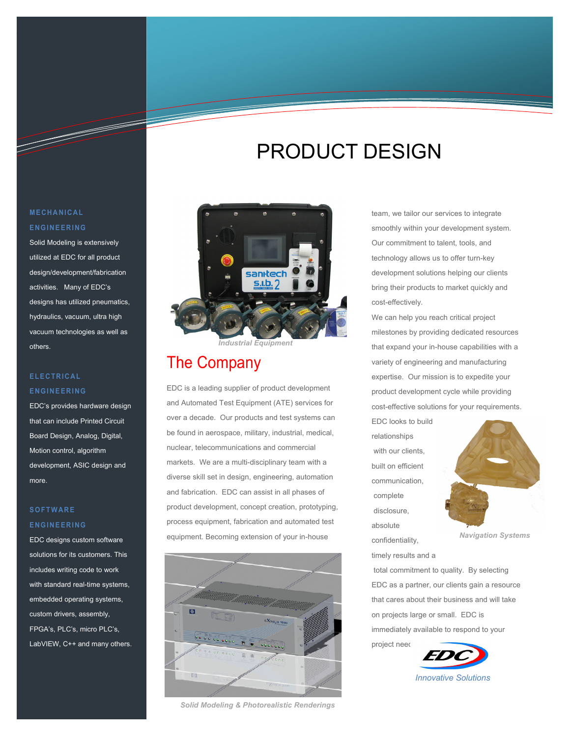# PRODUCT DESIGN

## **MECHANICAL ENGINEERING**

T

Solid Modeling is extensively utilized at EDC for all product design/development/fabrication activities. Many of EDC's designs has utilized pneumatics, hydraulics, vacuum, ultra high vacuum technologies as well as others.

### **ELECTRICAL ENGINEERING**

EDC's provides hardware design that can include Printed Circuit Board Design, Analog, Digital, Motion control, algorithm development, ASIC design and more.

### **SOFTWARE ENGINEERING**

EDC designs custom software solutions for its customers. This includes writing code to work with standard real-time systems, embedded operating systems, custom drivers, assembly, FPGA's, PLC's, micro PLC's, LabVIEW, C++ and many others.



*Industrial Equipment* 

# The Company

EDC is a leading supplier of product development and Automated Test Equipment (ATE) services for over a decade. Our products and test systems can be found in aerospace, military, industrial, medical, nuclear, telecommunications and commercial markets. We are a multi-disciplinary team with a diverse skill set in design, engineering, automation and fabrication. EDC can assist in all phases of product development, concept creation, prototyping, process equipment, fabrication and automated test equipment. Becoming extension of your in-house



*Solid Modeling & Photorealistic Renderings* 

team, we tailor our services to integrate smoothly within your development system. Our commitment to talent, tools, and technology allows us to offer turn-key development solutions helping our clients bring their products to market quickly and cost-effectively.

We can help you reach critical project milestones by providing dedicated resources that expand your in-house capabilities with a variety of engineering and manufacturing expertise. Our mission is to expedite your product development cycle while providing cost-effective solutions for your requirements.

EDC looks to build relationships with our clients, built on efficient communication, complete disclosure, absolute confidentiality,

timely results and a



 *Navigation Systems* 

 total commitment to quality. By selecting EDC as a partner, our clients gain a resource that cares about their business and will take on projects large or small. EDC is immediately available to respond to your

project need